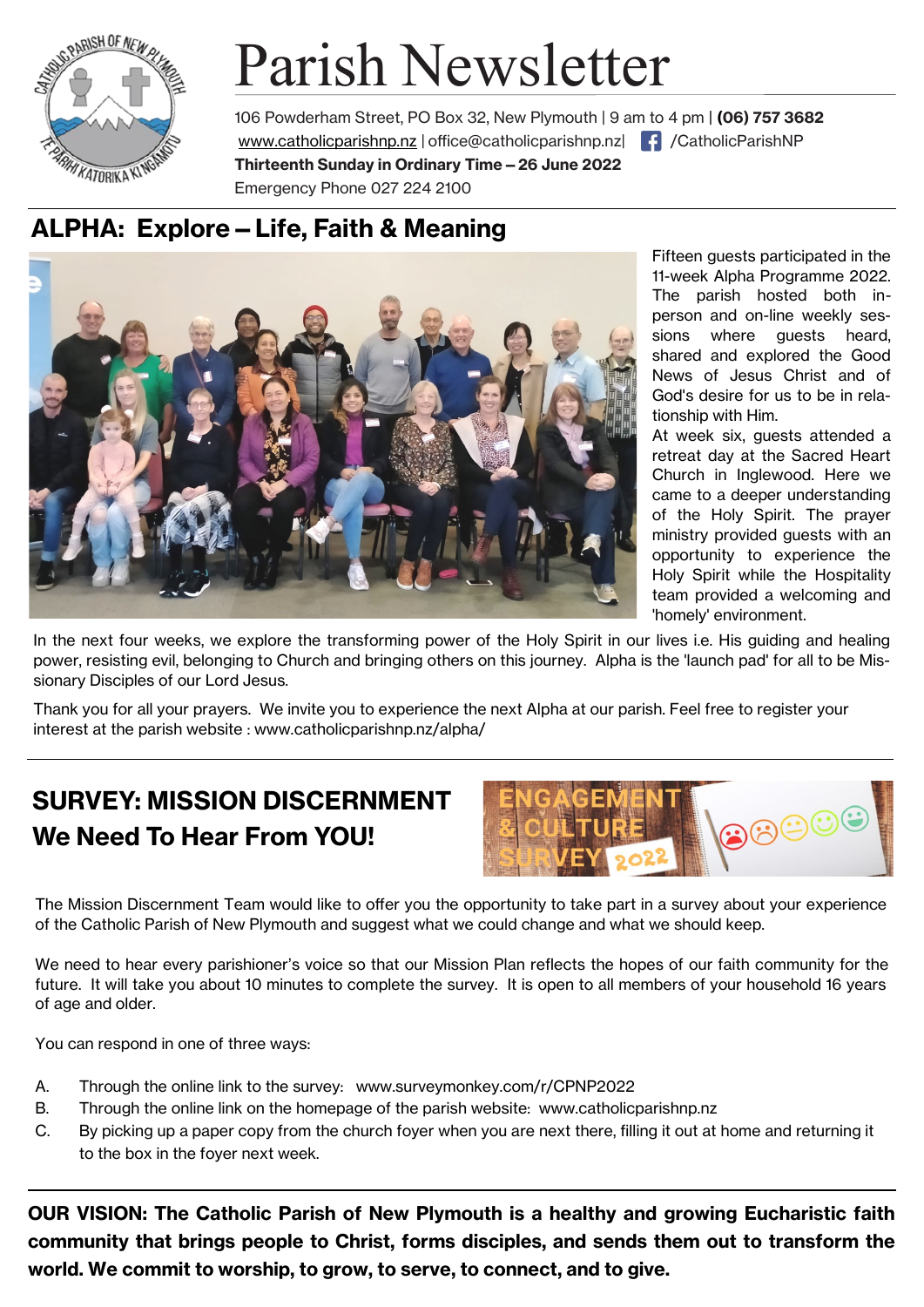

# Parish Newsletter

106 Powderham Street, PO Box 32, New Plymouth | 9 am to 4 pm | **(06) 757 3682**  www.catholicparishnp.nz | [office@catholicparishnp.nz|](mailto:office@catholicparishnp.nz) | { | /CatholicParishNP **Thirteenth Sunday in Ordinary Time—26 June 2022** Emergency Phone 027 224 2100

# **ALPHA: Explore—Life, Faith & Meaning**



Fifteen guests participated in the 11-week Alpha Programme 2022. The parish hosted both inperson and on-line weekly sessions where quests heard. shared and explored the Good News of Jesus Christ and of God's desire for us to be in relationship with Him.

At week six, guests attended a retreat day at the Sacred Heart Church in Inglewood. Here we came to a deeper understanding of the Holy Spirit. The prayer ministry provided guests with an opportunity to experience the Holy Spirit while the Hospitality team provided a welcoming and 'homely' environment.

In the next four weeks, we explore the transforming power of the Holy Spirit in our lives i.e. His guiding and healing power, resisting evil, belonging to Church and bringing others on this journey. Alpha is the 'launch pad' for all to be Missionary Disciples of our Lord Jesus.

Thank you for all your prayers. We invite you to experience the next Alpha at our parish. Feel free to register your interest at the parish website : www.catholicparishnp.nz/alpha/

# **SURVEY: MISSION DISCERNMENT We Need To Hear From YOU!**



The Mission Discernment Team would like to offer you the opportunity to take part in a survey about your experience of the Catholic Parish of New Plymouth and suggest what we could change and what we should keep.

We need to hear every parishioner's voice so that our Mission Plan reflects the hopes of our faith community for the future. It will take you about 10 minutes to complete the survey. It is open to all members of your household 16 years of age and older.

You can respond in one of three ways:

- A. Through the online link to the survey: www.surveymonkey.com/r/CPNP2022
- B. Through the online link on the homepage of the parish website: www.catholicparishnp.nz
- C. By picking up a paper copy from the church foyer when you are next there, filling it out at home and returning it to the box in the foyer next week.

**OUR VISION: The Catholic Parish of New Plymouth is a healthy and growing Eucharistic faith community that brings people to Christ, forms disciples, and sends them out to transform the world. We commit to worship, to grow, to serve, to connect, and to give.**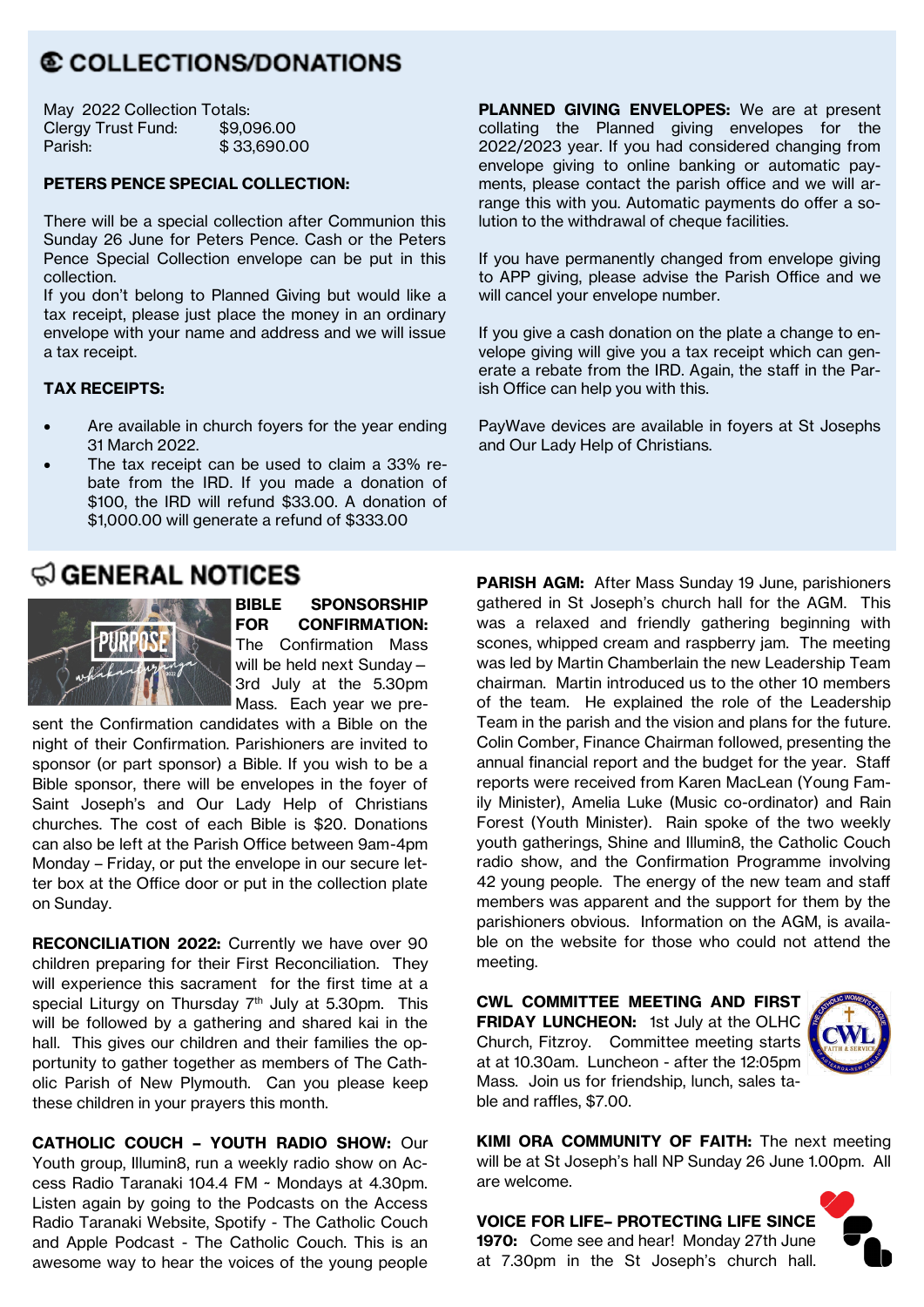# © COLLECTIONS/DONATIONS

| May 2022 Collection Totals: |             |
|-----------------------------|-------------|
| Clergy Trust Fund:          | \$9,096.00  |
| Parish:                     | \$33,690.00 |

#### **PETERS PENCE SPECIAL COLLECTION:**

There will be a special collection after Communion this Sunday 26 June for Peters Pence. Cash or the Peters Pence Special Collection envelope can be put in this collection.

If you don't belong to Planned Giving but would like a tax receipt, please just place the money in an ordinary envelope with your name and address and we will issue a tax receipt.

#### **TAX RECEIPTS:**

- Are available in church fovers for the year ending 31 March 2022.
- The tax receipt can be used to claim a 33% rebate from the IRD. If you made a donation of \$100, the IRD will refund \$33.00. A donation of \$1,000.00 will generate a refund of \$333.00

## $\mathfrak Q$  general notices



**BIBLE SPONSORSHIP FOR CONFIRMATION:**  The Confirmation Mass will be held next Sunday— 3rd July at the 5.30pm Mass. Each year we pre-

sent the Confirmation candidates with a Bible on the night of their Confirmation. Parishioners are invited to sponsor (or part sponsor) a Bible. If you wish to be a Bible sponsor, there will be envelopes in the foyer of Saint Joseph's and Our Lady Help of Christians churches. The cost of each Bible is \$20. Donations can also be left at the Parish Office between 9am-4pm Monday – Friday, or put the envelope in our secure letter box at the Office door or put in the collection plate on Sunday.

**RECONCILIATION 2022:** Currently we have over 90 children preparing for their First Reconciliation. They will experience this sacrament for the first time at a special Liturgy on Thursday  $7<sup>th</sup>$  July at 5.30pm. This will be followed by a gathering and shared kai in the hall. This gives our children and their families the opportunity to gather together as members of The Catholic Parish of New Plymouth. Can you please keep these children in your prayers this month.

**CATHOLIC COUCH – YOUTH RADIO SHOW:** Our Youth group, Illumin8, run a weekly radio show on Access Radio Taranaki 104.4 FM ~ Mondays at 4.30pm. Listen again by going to the Podcasts on the Access Radio Taranaki Website, Spotify - The Catholic Couch and Apple Podcast - The Catholic Couch. This is an awesome way to hear the voices of the young people

**PLANNED GIVING ENVELOPES:** We are at present collating the Planned giving envelopes for the 2022/2023 year. If you had considered changing from envelope giving to online banking or automatic payments, please contact the parish office and we will arrange this with you. Automatic payments do offer a solution to the withdrawal of cheque facilities.

If you have permanently changed from envelope giving to APP giving, please advise the Parish Office and we will cancel your envelope number.

If you give a cash donation on the plate a change to envelope giving will give you a tax receipt which can generate a rebate from the IRD. Again, the staff in the Parish Office can help you with this.

PayWave devices are available in foyers at St Josephs and Our Lady Help of Christians.

**PARISH AGM:** After Mass Sunday 19 June, parishioners gathered in St Joseph's church hall for the AGM. This was a relaxed and friendly gathering beginning with scones, whipped cream and raspberry jam. The meeting was led by Martin Chamberlain the new Leadership Team chairman. Martin introduced us to the other 10 members of the team. He explained the role of the Leadership Team in the parish and the vision and plans for the future. Colin Comber, Finance Chairman followed, presenting the annual financial report and the budget for the year. Staff reports were received from Karen MacLean (Young Family Minister), Amelia Luke (Music co-ordinator) and Rain Forest (Youth Minister). Rain spoke of the two weekly youth gatherings, Shine and Illumin8, the Catholic Couch radio show, and the Confirmation Programme involving 42 young people. The energy of the new team and staff members was apparent and the support for them by the parishioners obvious. Information on the AGM, is available on the website for those who could not attend the meeting.

**CWL COMMITTEE MEETING AND FIRST FRIDAY LUNCHEON:** 1st July at the OLHC Church, Fitzroy. Committee meeting starts at at 10.30am. Luncheon - after the 12:05pm Mass. Join us for friendship, lunch, sales table and raffles, \$7.00.



**KIMI ORA COMMUNITY OF FAITH:** The next meeting will be at St Joseph's hall NP Sunday 26 June 1.00pm. All are welcome.

**VOICE FOR LIFE– PROTECTING LIFE SINCE 1970:** Come see and hear! Monday 27th June at 7.30pm in the St Joseph's church hall.

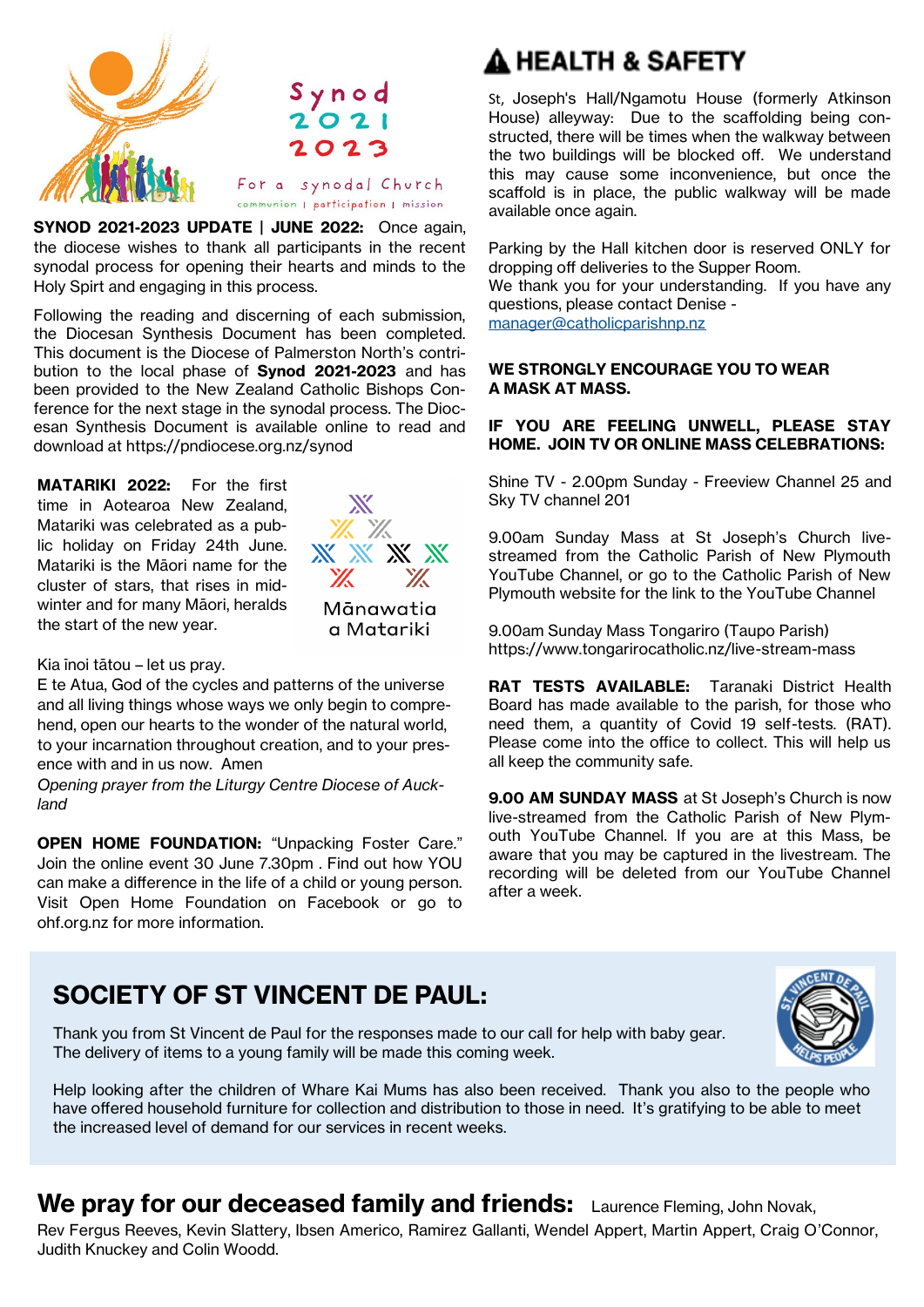

**SYNOD 2021-2023 UPDATE | JUNE 2022:** Once again, the diocese wishes to thank all participants in the recent synodal process for opening their hearts and minds to the Holy Spirt and engaging in this process.

Following the reading and discerning of each submission, the Diocesan Synthesis Document has been completed. This document is the Diocese of Palmerston North's contribution to the local phase of **Synod 2021-2023** and has been provided to the New Zealand Catholic Bishops Conference for the next stage in the synodal process. The Diocesan Synthesis Document is available online to read and download at https://pndiocese.org.nz/synod

**MATARIKI 2022:** For the first time in Aotearoa New Zealand, Matariki was celebrated as a public holiday on Friday 24th June. Matariki is the Māori name for the cluster of stars, that rises in midwinter and for many Māori, heralds the start of the new year.



#### Kia īnoi tātou – let us pray.

E te Atua, God of the cycles and patterns of the universe and all living things whose ways we only begin to comprehend, open our hearts to the wonder of the natural world, to your incarnation throughout creation, and to your presence with and in us now. Amen

*Opening prayer from the Liturgy Centre Diocese of Auckland*

**OPEN HOME FOUNDATION: "Unpacking Foster Care."** Join the online event 30 June 7.30pm . Find out how YOU can make a difference in the life of a child or young person. Visit Open Home Foundation on Facebook or go to ohf.org.nz for more information.

# A HEALTH & SAFETY

St, Joseph's Hall/Ngamotu House (formerly Atkinson House) alleyway: Due to the scaffolding being constructed, there will be times when the walkway between the two buildings will be blocked off. We understand this may cause some inconvenience, but once the scaffold is in place, the public walkway will be made available once again.

Parking by the Hall kitchen door is reserved ONLY for dropping off deliveries to the Supper Room.

We thank you for your understanding. If you have any questions, please contact Denise -

[manager@catholicparishnp.nz](mailto:manager@catholicparishnp.nz)

#### **WE STRONGLY ENCOURAGE YOU TO WEAR A MASK AT MASS.**

#### **IF YOU ARE FEELING UNWELL, PLEASE STAY HOME. JOIN TV OR ONLINE MASS CELEBRATIONS:**

Shine TV - 2.00pm Sunday - Freeview Channel 25 and Sky TV channel 201

9.00am Sunday Mass at St Joseph's Church livestreamed from the Catholic Parish of New Plymouth YouTube Channel, or go to the Catholic Parish of New Plymouth website for the link to the YouTube Channel

9.00am Sunday Mass Tongariro (Taupo Parish) https://www.tongarirocatholic.nz/live-stream-mass

**RAT TESTS AVAILABLE:** Taranaki District Health Board has made available to the parish, for those who need them, a quantity of Covid 19 self-tests. (RAT). Please come into the office to collect. This will help us all keep the community safe.

**9.00 AM SUNDAY MASS** at St Joseph's Church is now live-streamed from the Catholic Parish of New Plymouth YouTube Channel. If you are at this Mass, be aware that you may be captured in the livestream. The recording will be deleted from our YouTube Channel after a week.

## **SOCIETY OF ST VINCENT DE PAUL:**



Thank you from St Vincent de Paul for the responses made to our call for help with baby gear. The delivery of items to a young family will be made this coming week.

Help looking after the children of Whare Kai Mums has also been received. Thank you also to the people who have offered household furniture for collection and distribution to those in need. It's gratifying to be able to meet the increased level of demand for our services in recent weeks.

# We pray for our deceased family and friends: Laurence Fleming, John Novak,

Rev Fergus Reeves, Kevin Slattery, Ibsen Americo, Ramirez Gallanti, Wendel Appert, Martin Appert, Craig O'Connor, Judith Knuckey and Colin Woodd.